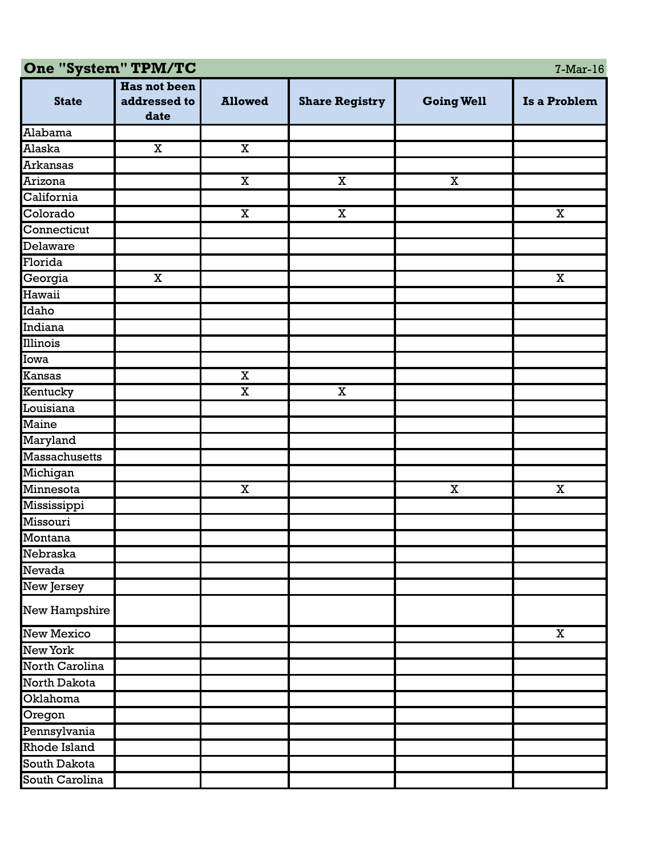| One "System" TPM/TC<br>$7-Mar-16$ |                     |                         |                         |                         |              |  |  |  |
|-----------------------------------|---------------------|-------------------------|-------------------------|-------------------------|--------------|--|--|--|
|                                   | <b>Has not been</b> |                         |                         |                         |              |  |  |  |
| <b>State</b>                      | addressed to        | <b>Allowed</b>          | <b>Share Registry</b>   | <b>Going Well</b>       | Is a Problem |  |  |  |
|                                   | date                |                         |                         |                         |              |  |  |  |
| Alabama                           |                     |                         |                         |                         |              |  |  |  |
| Alaska                            | $\mathbf X$         | $\overline{\mathbf{X}}$ |                         |                         |              |  |  |  |
| <b>Arkansas</b>                   |                     |                         |                         |                         |              |  |  |  |
| Arizona                           |                     | $\mathbf X$             | $\overline{\mathbf{X}}$ | $\overline{\mathbf{X}}$ |              |  |  |  |
| California                        |                     |                         |                         |                         |              |  |  |  |
| Colorado                          |                     | $\mathbf X$             | $\mathbf X$             |                         | $\mathbf X$  |  |  |  |
| Connecticut                       |                     |                         |                         |                         |              |  |  |  |
| Delaware                          |                     |                         |                         |                         |              |  |  |  |
| Florida                           |                     |                         |                         |                         |              |  |  |  |
| Georgia                           | $\mathbf X$         |                         |                         |                         | $\mathbf X$  |  |  |  |
| Hawaii                            |                     |                         |                         |                         |              |  |  |  |
| Idaho                             |                     |                         |                         |                         |              |  |  |  |
| Indiana                           |                     |                         |                         |                         |              |  |  |  |
| Illinois                          |                     |                         |                         |                         |              |  |  |  |
| Iowa                              |                     |                         |                         |                         |              |  |  |  |
| <b>Kansas</b>                     |                     | $\overline{\mathbf{x}}$ |                         |                         |              |  |  |  |
| Kentucky                          |                     | $\mathbf X$             | $\mathbf X$             |                         |              |  |  |  |
| Louisiana                         |                     |                         |                         |                         |              |  |  |  |
| Maine                             |                     |                         |                         |                         |              |  |  |  |
| Maryland                          |                     |                         |                         |                         |              |  |  |  |
| Massachusetts                     |                     |                         |                         |                         |              |  |  |  |
| Michigan                          |                     |                         |                         |                         |              |  |  |  |
| Minnesota                         |                     | $\mathbf X$             |                         | $\mathbf X$             | $\mathbf X$  |  |  |  |
| Mississippi                       |                     |                         |                         |                         |              |  |  |  |
| Missouri                          |                     |                         |                         |                         |              |  |  |  |
| Montana                           |                     |                         |                         |                         |              |  |  |  |
| Nebraska                          |                     |                         |                         |                         |              |  |  |  |
| Nevada                            |                     |                         |                         |                         |              |  |  |  |
| New Jersey                        |                     |                         |                         |                         |              |  |  |  |
| New Hampshire                     |                     |                         |                         |                         |              |  |  |  |
| <b>New Mexico</b>                 |                     |                         |                         |                         | $\mathbf X$  |  |  |  |
| New York                          |                     |                         |                         |                         |              |  |  |  |
| North Carolina                    |                     |                         |                         |                         |              |  |  |  |
| North Dakota                      |                     |                         |                         |                         |              |  |  |  |
| Oklahoma                          |                     |                         |                         |                         |              |  |  |  |
| Oregon                            |                     |                         |                         |                         |              |  |  |  |
| Pennsylvania                      |                     |                         |                         |                         |              |  |  |  |
| Rhode Island                      |                     |                         |                         |                         |              |  |  |  |
| South Dakota                      |                     |                         |                         |                         |              |  |  |  |
| South Carolina                    |                     |                         |                         |                         |              |  |  |  |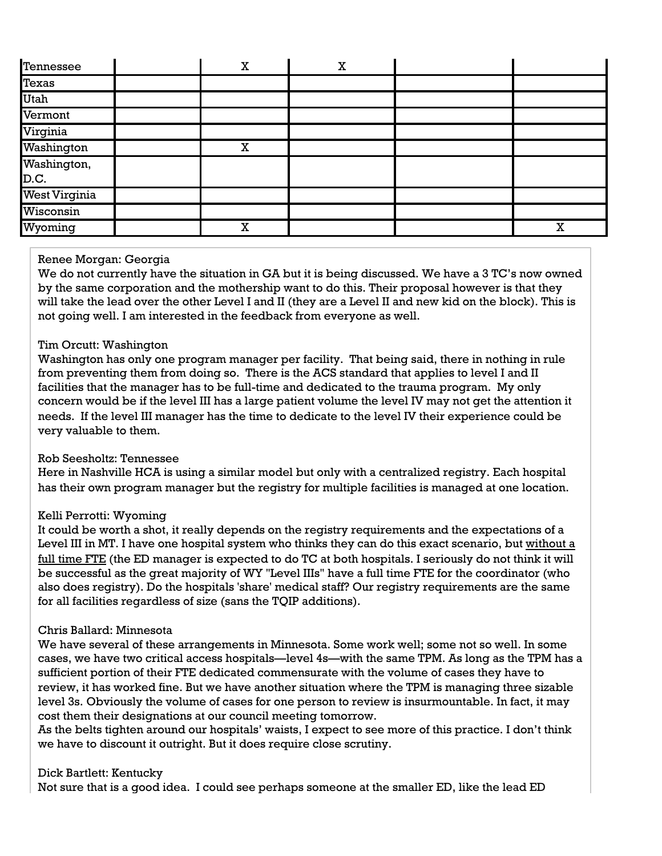| Tennessee            | $\mathbf X$ | X |   |
|----------------------|-------------|---|---|
| Texas                |             |   |   |
| <b>Utah</b>          |             |   |   |
| Vermont              |             |   |   |
| Virginia             |             |   |   |
| Washington           | $\mathbf X$ |   |   |
| Washington,<br>D.C.  |             |   |   |
| <b>West Virginia</b> |             |   |   |
| Wisconsin            |             |   |   |
| Wyoming              | $\mathbf X$ |   | X |

## Renee Morgan: Georgia

We do not currently have the situation in GA but it is being discussed. We have a 3 TC's now owned by the same corporation and the mothership want to do this. Their proposal however is that they will take the lead over the other Level I and II (they are a Level II and new kid on the block). This is not going well. I am interested in the feedback from everyone as well.

## Tim Orcutt: Washington

Washington has only one program manager per facility. That being said, there in nothing in rule from preventing them from doing so. There is the ACS standard that applies to level I and II facilities that the manager has to be full-time and dedicated to the trauma program. My only concern would be if the level III has a large patient volume the level IV may not get the attention it needs. If the level III manager has the time to dedicate to the level IV their experience could be very valuable to them.

# Rob Seesholtz: Tennessee

Here in Nashville HCA is using a similar model but only with a centralized registry. Each hospital has their own program manager but the registry for multiple facilities is managed at one location.

# Kelli Perrotti: Wyoming

It could be worth a shot, it really depends on the registry requirements and the expectations of a Level III in MT. I have one hospital system who thinks they can do this exact scenario, but without a full time FTE (the ED manager is expected to do TC at both hospitals. I seriously do not think it will be successful as the great majority of WY "Level IIIs" have a full time FTE for the coordinator (who also does registry). Do the hospitals 'share' medical staff? Our registry requirements are the same for all facilities regardless of size (sans the TQIP additions).

#### Chris Ballard: Minnesota

We have several of these arrangements in Minnesota. Some work well; some not so well. In some cases, we have two critical access hospitals—level 4s—with the same TPM. As long as the TPM has a sufficient portion of their FTE dedicated commensurate with the volume of cases they have to review, it has worked fine. But we have another situation where the TPM is managing three sizable level 3s. Obviously the volume of cases for one person to review is insurmountable. In fact, it may cost them their designations at our council meeting tomorrow.

As the belts tighten around our hospitals' waists, I expect to see more of this practice. I don't think we have to discount it outright. But it does require close scrutiny.

#### Dick Bartlett: Kentucky

Not sure that is a good idea. I could see perhaps someone at the smaller ED, like the lead ED